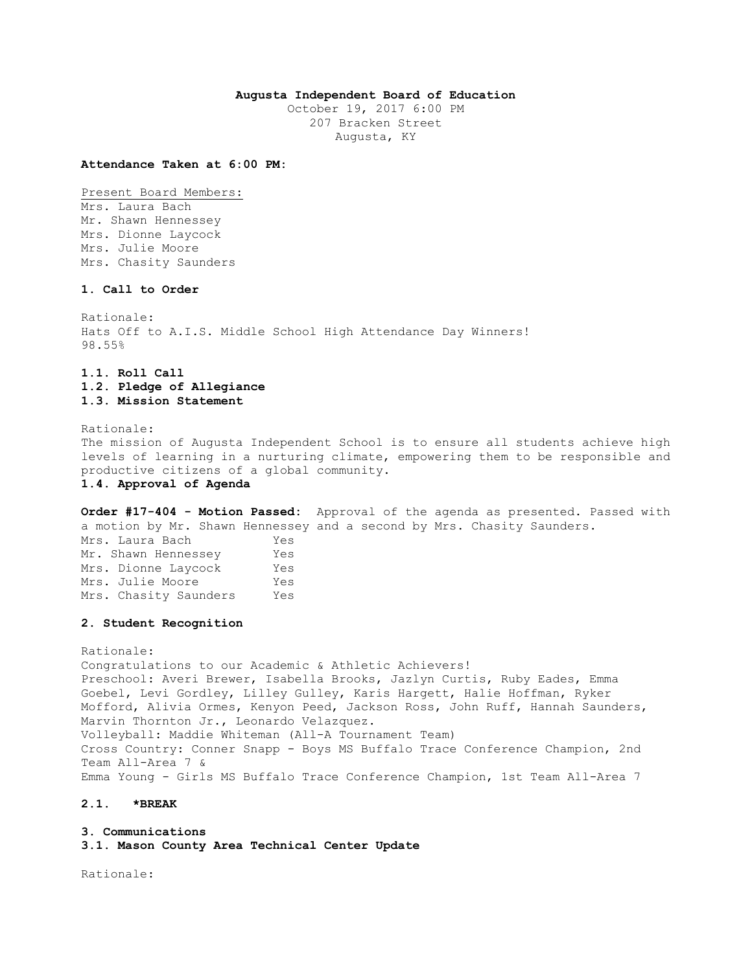# **Augusta Independent Board of Education**

October 19, 2017 6:00 PM 207 Bracken Street Augusta, KY

**Attendance Taken at 6:00 PM:**

Present Board Members: Mrs. Laura Bach Mr. Shawn Hennessey Mrs. Dionne Laycock Mrs. Julie Moore Mrs. Chasity Saunders

# **1. Call to Order**

Rationale: Hats Off to A.I.S. Middle School High Attendance Day Winners! 98.55%

# **1.1. Roll Call 1.2. Pledge of Allegiance 1.3. Mission Statement**

Rationale: The mission of Augusta Independent School is to ensure all students achieve high levels of learning in a nurturing climate, empowering them to be responsible and productive citizens of a global community. **1.4. Approval of Agenda** 

**Order #17-404 - Motion Passed:** Approval of the agenda as presented. Passed with a motion by Mr. Shawn Hennessey and a second by Mrs. Chasity Saunders. Mrs. Laura Bach Yes Mr. Shawn Hennessey Yes Mrs. Dionne Laycock Yes Mrs. Julie Moore Yes Mrs. Chasity Saunders Yes

#### **2. Student Recognition**

Rationale: Congratulations to our Academic & Athletic Achievers! Preschool: Averi Brewer, Isabella Brooks, Jazlyn Curtis, Ruby Eades, Emma Goebel, Levi Gordley, Lilley Gulley, Karis Hargett, Halie Hoffman, Ryker Mofford, Alivia Ormes, Kenyon Peed, Jackson Ross, John Ruff, Hannah Saunders, Marvin Thornton Jr., Leonardo Velazquez. Volleyball: Maddie Whiteman (All-A Tournament Team) Cross Country: Conner Snapp - Boys MS Buffalo Trace Conference Champion, 2nd Team All-Area 7 & Emma Young - Girls MS Buffalo Trace Conference Champion, 1st Team All-Area 7

### **2.1. \*BREAK**

**3. Communications 3.1. Mason County Area Technical Center Update** 

Rationale: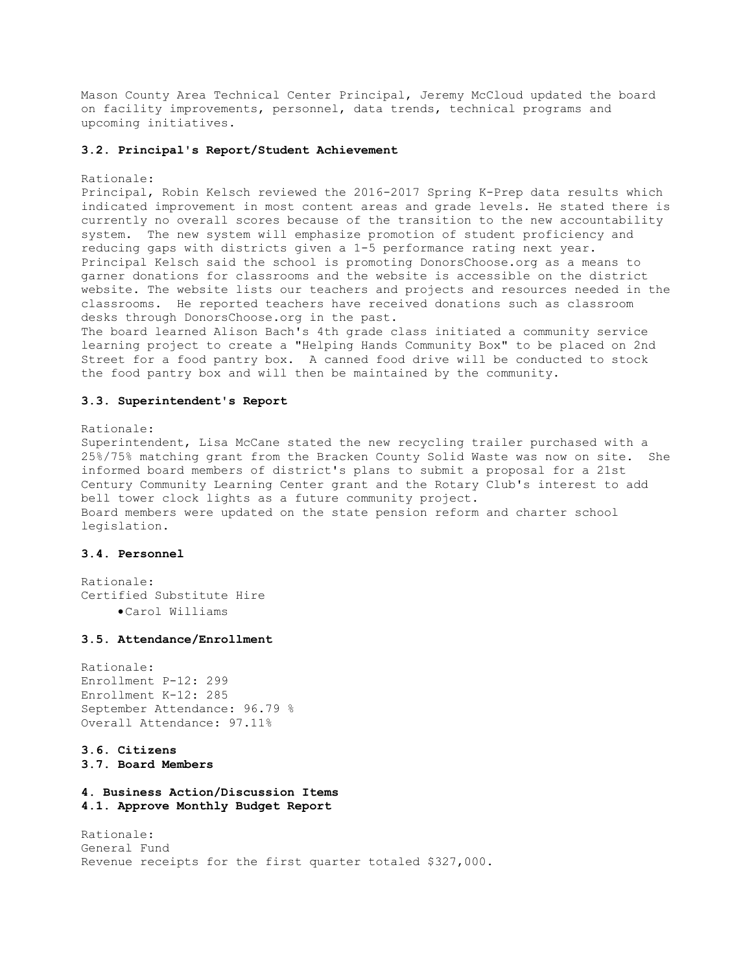Mason County Area Technical Center Principal, Jeremy McCloud updated the board on facility improvements, personnel, data trends, technical programs and upcoming initiatives.

#### **3.2. Principal's Report/Student Achievement**

#### Rationale:

Principal, Robin Kelsch reviewed the 2016-2017 Spring K-Prep data results which indicated improvement in most content areas and grade levels. He stated there is currently no overall scores because of the transition to the new accountability system. The new system will emphasize promotion of student proficiency and reducing gaps with districts given a 1-5 performance rating next year. Principal Kelsch said the school is promoting DonorsChoose.org as a means to garner donations for classrooms and the website is accessible on the district website. The website lists our teachers and projects and resources needed in the classrooms. He reported teachers have received donations such as classroom desks through DonorsChoose.org in the past.

The board learned Alison Bach's 4th grade class initiated a community service learning project to create a "Helping Hands Community Box" to be placed on 2nd Street for a food pantry box. A canned food drive will be conducted to stock the food pantry box and will then be maintained by the community.

#### **3.3. Superintendent's Report**

### Rationale:

Superintendent, Lisa McCane stated the new recycling trailer purchased with a 25%/75% matching grant from the Bracken County Solid Waste was now on site. She informed board members of district's plans to submit a proposal for a 21st Century Community Learning Center grant and the Rotary Club's interest to add bell tower clock lights as a future community project. Board members were updated on the state pension reform and charter school legislation.

### **3.4. Personnel**

Rationale: Certified Substitute Hire Carol Williams

#### **3.5. Attendance/Enrollment**

Rationale: Enrollment P-12: 299 Enrollment K-12: 285 September Attendance: 96.79 % Overall Attendance: 97.11%

# **3.6. Citizens**

**3.7. Board Members** 

**4. Business Action/Discussion Items 4.1. Approve Monthly Budget Report** 

Rationale: General Fund Revenue receipts for the first quarter totaled \$327,000.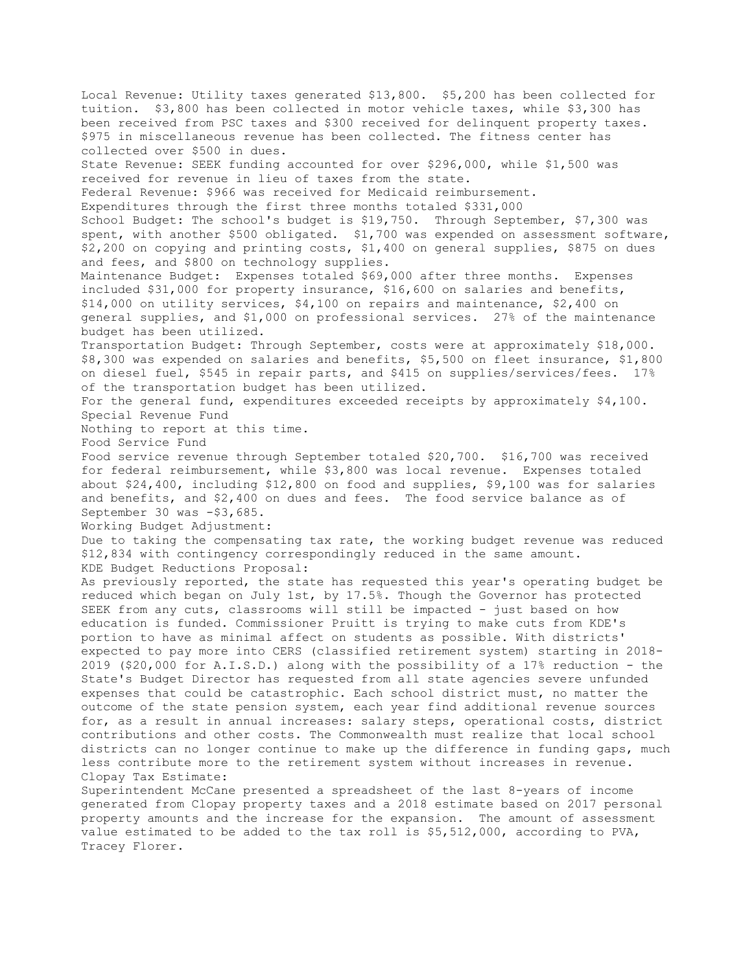Local Revenue: Utility taxes generated \$13,800. \$5,200 has been collected for tuition. \$3,800 has been collected in motor vehicle taxes, while \$3,300 has been received from PSC taxes and \$300 received for delinquent property taxes. \$975 in miscellaneous revenue has been collected. The fitness center has collected over \$500 in dues. State Revenue: SEEK funding accounted for over \$296,000, while \$1,500 was received for revenue in lieu of taxes from the state. Federal Revenue: \$966 was received for Medicaid reimbursement. Expenditures through the first three months totaled \$331,000 School Budget: The school's budget is \$19,750. Through September, \$7,300 was spent, with another \$500 obligated. \$1,700 was expended on assessment software, \$2,200 on copying and printing costs, \$1,400 on general supplies, \$875 on dues and fees, and \$800 on technology supplies. Maintenance Budget: Expenses totaled \$69,000 after three months. Expenses included \$31,000 for property insurance, \$16,600 on salaries and benefits, \$14,000 on utility services, \$4,100 on repairs and maintenance, \$2,400 on general supplies, and \$1,000 on professional services. 27% of the maintenance budget has been utilized. Transportation Budget: Through September, costs were at approximately \$18,000. \$8,300 was expended on salaries and benefits, \$5,500 on fleet insurance, \$1,800 on diesel fuel, \$545 in repair parts, and \$415 on supplies/services/fees. 17% of the transportation budget has been utilized. For the general fund, expenditures exceeded receipts by approximately \$4,100. Special Revenue Fund Nothing to report at this time. Food Service Fund Food service revenue through September totaled \$20,700. \$16,700 was received for federal reimbursement, while \$3,800 was local revenue. Expenses totaled about \$24,400, including \$12,800 on food and supplies, \$9,100 was for salaries and benefits, and \$2,400 on dues and fees. The food service balance as of September 30 was -\$3,685. Working Budget Adjustment: Due to taking the compensating tax rate, the working budget revenue was reduced \$12,834 with contingency correspondingly reduced in the same amount. KDE Budget Reductions Proposal: As previously reported, the state has requested this year's operating budget be reduced which began on July 1st, by 17.5%. Though the Governor has protected SEEK from any cuts, classrooms will still be impacted - just based on how education is funded. Commissioner Pruitt is trying to make cuts from KDE's portion to have as minimal affect on students as possible. With districts' expected to pay more into CERS (classified retirement system) starting in 2018- 2019 (\$20,000 for A.I.S.D.) along with the possibility of a 17% reduction - the State's Budget Director has requested from all state agencies severe unfunded expenses that could be catastrophic. Each school district must, no matter the outcome of the state pension system, each year find additional revenue sources for, as a result in annual increases: salary steps, operational costs, district contributions and other costs. The Commonwealth must realize that local school districts can no longer continue to make up the difference in funding gaps, much less contribute more to the retirement system without increases in revenue. Clopay Tax Estimate: Superintendent McCane presented a spreadsheet of the last 8-years of income generated from Clopay property taxes and a 2018 estimate based on 2017 personal property amounts and the increase for the expansion. The amount of assessment value estimated to be added to the tax roll is \$5,512,000, according to PVA, Tracey Florer.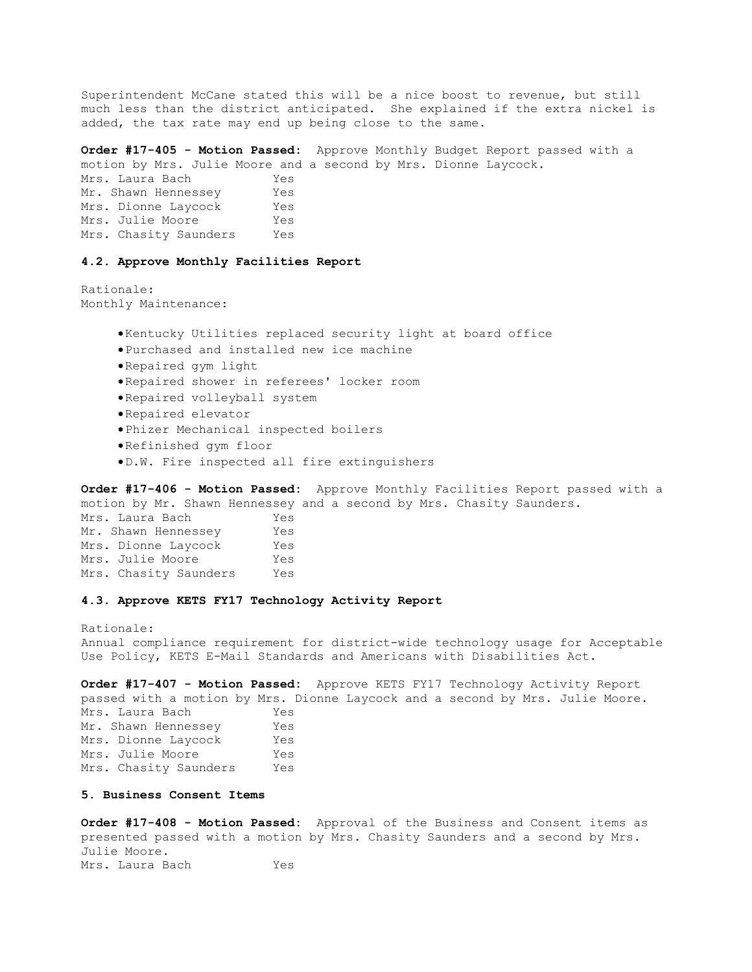Superintendent McCane stated this will be a nice boost to revenue, but still much less than the district anticipated. She explained if the extra nickel is added, the tax rate may end up being close to the same.

**Order #17-405 - Motion Passed:** Approve Monthly Budget Report passed with a motion by Mrs. Julie Moore and a second by Mrs. Dionne Laycock.

Mrs. Laura Bach Yes Mr. Shawn Hennessey Yes Mrs. Dionne Laycock Yes Mrs. Julie Moore Yes Mrs. Chasity Saunders Yes

#### **4.2. Approve Monthly Facilities Report**

Rationale: Monthly Maintenance:

- Kentucky Utilities replaced security light at board office
- Purchased and installed new ice machine
- Repaired gym light
- Repaired shower in referees' locker room
- Repaired volleyball system
- Repaired elevator
- Phizer Mechanical inspected boilers
- Refinished gym floor
- D.W. Fire inspected all fire extinguishers

**Order #17-406 - Motion Passed:** Approve Monthly Facilities Report passed with a motion by Mr. Shawn Hennessey and a second by Mrs. Chasity Saunders. Mrs. Laura Bach Yes Mr. Shawn Hennessey Yes Mrs. Dionne Laycock Yes Mrs. Julie Moore Yes Mrs. Chasity Saunders Yes

# **4.3. Approve KETS FY17 Technology Activity Report**

Rationale: Annual compliance requirement for district-wide technology usage for Acceptable Use Policy, KETS E-Mail Standards and Americans with Disabilities Act.

**Order #17-407 - Motion Passed:** Approve KETS FY17 Technology Activity Report passed with a motion by Mrs. Dionne Laycock and a second by Mrs. Julie Moore. Mrs. Laura Bach Yes Mr. Shawn Hennessey Yes Mrs. Dionne Laycock Yes Mrs. Julie Moore Yes Mrs. Chasity Saunders Yes

### **5. Business Consent Items**

**Order #17-408 - Motion Passed:** Approval of the Business and Consent items as presented passed with a motion by Mrs. Chasity Saunders and a second by Mrs. Julie Moore. Mrs. Laura Bach Yes